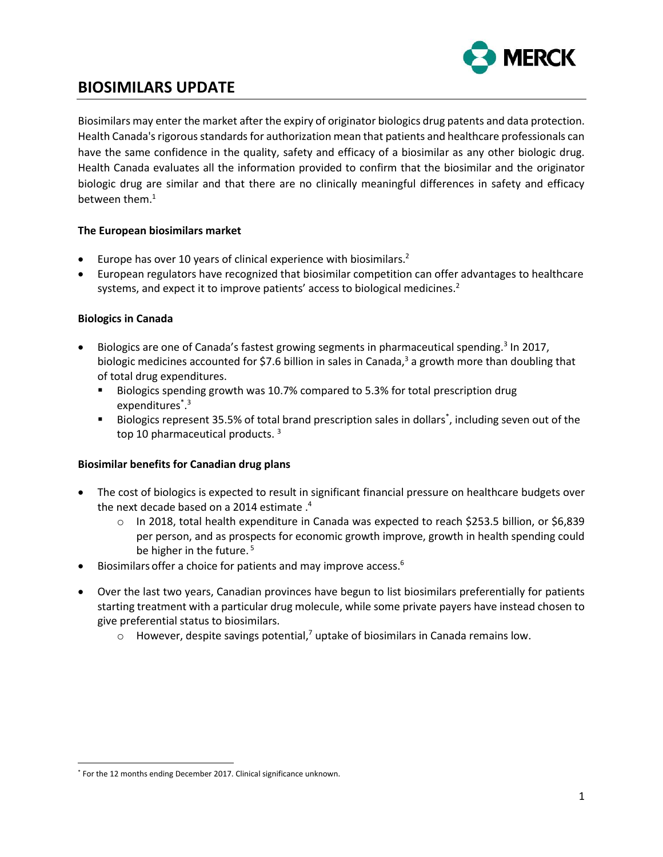<span id="page-0-1"></span><span id="page-0-0"></span>

# **BIOSIMILARS UPDATE**

Biosimilars may enter the market after the expiry of originator biologics drug patents and data protection. Health Canada's rigorous standards for authorization mean that patients and healthcare professionals can have the same confidence in the quality, safety and efficacy of a biosimilar as any other biologic drug. Health Canada evaluates all the information provided to confirm that the biosimilar and the originator biologic drug are similar and that there are no clinically meaningful differences in safety and efficacy between them $<sup>1</sup>$ </sup>

### <span id="page-0-2"></span>**The European biosimilars market**

- Europe has over 10 years of clinical experience with biosimilars.<sup>2</sup>
- European regulators have recognized that biosimilar competition can offer advantages to healthcare systems, and expect it to improve patients' access to biological medicines.<sup>[2](#page-0-0)</sup>

### **Biologics in Canada**

- Biologics are one of Canada's fastest growing segments in pharmaceutical spending.<sup>3</sup> In 2017, biologic medicines accounted for \$7.6 billion in sales in Canad[a,](#page-0-1)<sup>3</sup> a growth more than doubling that of total drug expenditures.
	- Biologics spending growth was 10.7% compared to 5.3% for total prescription drug expenditures<sup>\*</sup>.<sup>[3](#page-0-1)</sup>
	- Biologics represent 35.5% of total brand prescription sales in dollars<sup>\*</sup>, including seven out of the top 10 pharmaceutical products.<sup>[3](#page-0-1)</sup>

### **Biosimilar benefits for Canadian drug plans**

- The cost of biologics is expected to result in significant financial pressure on healthcare budgets over the next decade based on a 2014 estimate . 4
	- $\circ$  In 2018, total health expenditure in Canada was expected to reach \$253.5 billion, or \$6,839 per person, and as prospects for economic growth improve, growth in health spending could be higher in the future. 5
- Biosimilars offer a choice for patients and may improve access.<sup>6</sup>
- Over the last two years, Canadian provinces have begun to list biosimilars preferentially for patients starting treatment with a particular drug molecule, while some private payers have instead chosen to give preferential status to biosimilars.
	- $\circ$  However, despite savings potential,<sup>7</sup> uptake of biosimilars in Canada remains low.

 $\overline{\phantom{a}}$ \* For the 12 months ending December 2017. Clinical significance unknown.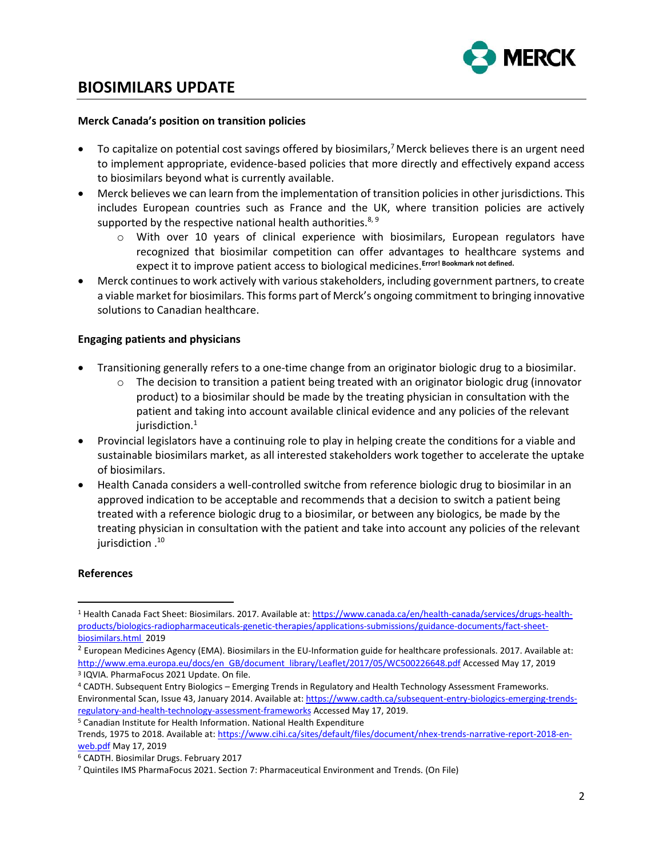

## **BIOSIMILARS UPDATE**

#### **Merck Canada's position on transition policies**

- To capitalize on potential cost savings offered by biosimilars,<sup>7</sup> Merck believes there is an urgent need to implement appropriate, evidence-based policies that more directly and effectively expand access to biosimilars beyond what is currently available.
- Merck believes we can learn from the implementation of transition policies in other jurisdictions. This includes European countries such as France and the UK, where transition policies are actively supported by the respective national health authorities.<sup>8, 9</sup>
	- o With over 10 years of clinical experience with biosimilars, European regulators have recognized that biosimilar competition can offer advantages to healthcare systems and expect it to improve patient access to biological medicines.**Error! Bookmark not defined.**
- Merck continues to work actively with various stakeholders, including government partners, to create a viable market for biosimilars. This forms part of Merck's ongoing commitment to bringing innovative solutions to Canadian healthcare.

### **Engaging patients and physicians**

- Transitioning generally refers to a one-time change from an originator biologic drug to a biosimilar.
	- $\circ$  The decision to transition a patient being treated with an originator biologic drug (innovator product) to a biosimilar should be made by the treating physician in consultation with the patient and taking into account available clinical evidence and any policies of the relevant iurisdiction[.](#page-0-2)<sup>1</sup>
- Provincial legislators have a continuing role to play in helping create the conditions for a viable and sustainable biosimilars market, as all interested stakeholders work together to accelerate the uptake of biosimilars.
- Health Canada considers a well-controlled switche from reference biologic drug to biosimilar in an approved indication to be acceptable and recommends that a decision to switch a patient being treated with a reference biologic drug to a biosimilar, or between any biologics, be made by the treating physician in consultation with the patient and take into account any policies of the relevant <sup>10</sup>. jurisdiction

### **References**

 $\overline{\phantom{a}}$ 

<sup>1</sup> Health Canada Fact Sheet: Biosimilars. 2017. Available at: [https://www.canada.ca/en/health-canada/services/drugs-health](https://www.canada.ca/en/health-canada/services/drugs-health-products/biologics-radiopharmaceuticals-genetic-therapies/applications-submissions/guidance-documents/fact-sheet-biosimilars.html)[products/biologics-radiopharmaceuticals-genetic-therapies/applications-submissions/guidance-documents/fact-sheet](https://www.canada.ca/en/health-canada/services/drugs-health-products/biologics-radiopharmaceuticals-genetic-therapies/applications-submissions/guidance-documents/fact-sheet-biosimilars.html)[biosimilars.html 2](https://www.canada.ca/en/health-canada/services/drugs-health-products/biologics-radiopharmaceuticals-genetic-therapies/applications-submissions/guidance-documents/fact-sheet-biosimilars.html)019

<sup>&</sup>lt;sup>2</sup> European Medicines Agency (EMA). Biosimilars in the EU-Information guide for healthcare professionals. 2017. Available at: [http://www.ema.europa.eu/docs/en\\_GB/document\\_library/Leaflet/2017/05/WC500226648.pdf](http://www.ema.europa.eu/docs/en_GB/document_library/Leaflet/2017/05/WC500226648.pdf) Accessed May 17, 2019 3 IQVIA. PharmaFocus 2021 Update. On file.

<sup>4</sup> CADTH. Subsequent Entry Biologics – Emerging Trends in Regulatory and Health Technology Assessment Frameworks. Environmental Scan, Issue 43, January 2014. Available at[: https://www.cadth.ca/subsequent-entry-biologics-emerging-trends](https://www.cadth.ca/subsequent-entry-biologics-emerging-trends-regulatory-and-health-technology-assessment-frameworks)[regulatory-and-health-technology-assessment-frameworks](https://www.cadth.ca/subsequent-entry-biologics-emerging-trends-regulatory-and-health-technology-assessment-frameworks) Accessed May 17, 2019.

<sup>5</sup> Canadian Institute for Health Information. National Health Expenditure Trends, 1975 to 2018. Available at: [https://www.cihi.ca/sites/default/files/document/nhex-trends-narrative-report-2018-en](https://www.cihi.ca/sites/default/files/document/nhex-trends-narrative-report-2018-en-web.pdf)[web.pdf](https://www.cihi.ca/sites/default/files/document/nhex-trends-narrative-report-2018-en-web.pdf) May 17, 2019

<sup>6</sup> CADTH. Biosimilar Drugs. February 2017

<sup>7</sup> Quintiles IMS PharmaFocus 2021. Section 7: Pharmaceutical Environment and Trends. (On File)